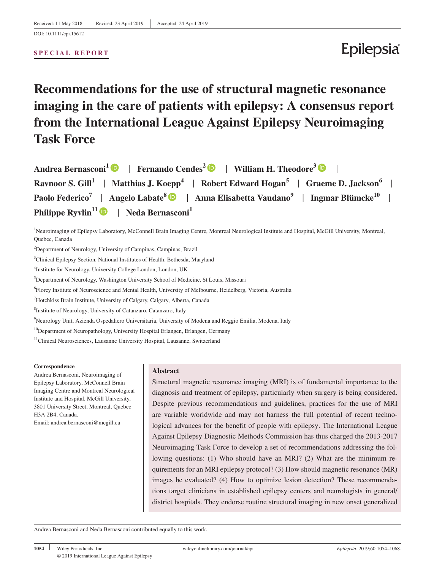#### **SPECIAL REPORT**

# Epilepsia

# **Recommendations for the use of structural magnetic resonance imaging in the care of patients with epilepsy: A consensus report from the International League Against Epilepsy Neuroimaging Task Force**

| Andrea Bernasconi <sup>1</sup> D   Fernando Cendes <sup>2</sup> D   William H. Theodore <sup>3</sup> D                            |
|-----------------------------------------------------------------------------------------------------------------------------------|
| Ravnoor S. Gill <sup>1</sup>   Matthias J. Koepp <sup>4</sup>   Robert Edward Hogan <sup>5</sup>   Graeme D. Jackson <sup>6</sup> |
| Paolo Federico <sup>7</sup>   Angelo Labate <sup>8</sup> D   Anna Elisabetta Vaudano <sup>9</sup>   Ingmar Blümcke <sup>10</sup>  |
| <b>Philippe Ryvlin<sup>11</sup> D</b>   Neda Bernasconi <sup>1</sup>                                                              |

1 Neuroimaging of Epilepsy Laboratory, McConnell Brain Imaging Centre, Montreal Neurological Institute and Hospital, McGill University, Montreal, Quebec, Canada

<sup>2</sup>Department of Neurology, University of Campinas, Campinas, Brazil

3 Clinical Epilepsy Section, National Institutes of Health, Bethesda, Maryland

4 Institute for Neurology, University College London, London, UK

<sup>5</sup>Department of Neurology, Washington University School of Medicine, St Louis, Missouri

6 Florey Institute of Neuroscience and Mental Health, University of Melbourne, Heidelberg, Victoria, Australia

<sup>7</sup>Hotchkiss Brain Institute, University of Calgary, Calgary, Alberta, Canada

8 Institute of Neurology, University of Catanzaro, Catanzaro, Italy

9 Neurology Unit, Azienda Ospedaliero Universitaria, University of Modena and Reggio Emilia, Modena, Italy

<sup>10</sup>Department of Neuropathology, University Hospital Erlangen, Erlangen, Germany

<sup>11</sup>Clinical Neurosciences, Lausanne University Hospital, Lausanne, Switzerland

#### **Correspondence**

Andrea Bernasconi, Neuroimaging of Epilepsy Laboratory, McConnell Brain Imaging Centre and Montreal Neurological Institute and Hospital, McGill University, 3801 University Street, Montreal, Quebec H3A 2B4, Canada.

Email: [andrea.bernasconi@mcgill.ca](mailto:andrea.bernasconi@mcgill.ca)

#### **Abstract**

Structural magnetic resonance imaging (MRI) is of fundamental importance to the diagnosis and treatment of epilepsy, particularly when surgery is being considered. Despite previous recommendations and guidelines, practices for the use of MRI are variable worldwide and may not harness the full potential of recent technological advances for the benefit of people with epilepsy. The International League Against Epilepsy Diagnostic Methods Commission has thus charged the 2013‐2017 Neuroimaging Task Force to develop a set of recommendations addressing the following questions: (1) Who should have an MRI? (2) What are the minimum requirements for an MRI epilepsy protocol? (3) How should magnetic resonance (MR) images be evaluated? (4) How to optimize lesion detection? These recommendations target clinicians in established epilepsy centers and neurologists in general/ district hospitals. They endorse routine structural imaging in new onset generalized

Andrea Bernasconi and Neda Bernasconi contributed equally to this work.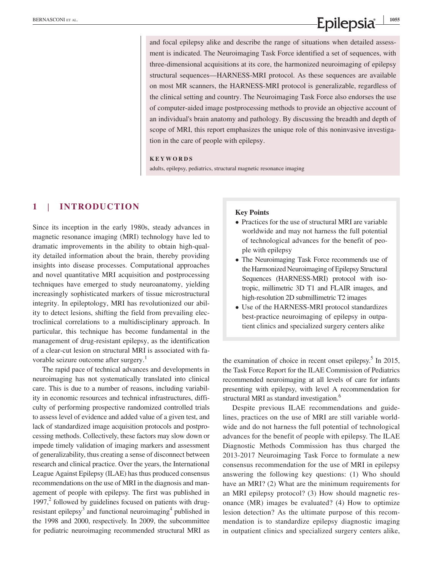# **EXERUASCONI ET AL. 1055**<br>**Epilepsia**  $\frac{1}{2}$

and focal epilepsy alike and describe the range of situations when detailed assessment is indicated. The Neuroimaging Task Force identified a set of sequences, with three‐dimensional acquisitions at its core, the harmonized neuroimaging of epilepsy structural sequences—HARNESS‐MRI protocol. As these sequences are available on most MR scanners, the HARNESS‐MRI protocol is generalizable, regardless of the clinical setting and country. The Neuroimaging Task Force also endorses the use of computer‐aided image postprocessing methods to provide an objective account of an individual's brain anatomy and pathology. By discussing the breadth and depth of scope of MRI, this report emphasizes the unique role of this noninvasive investigation in the care of people with epilepsy.

#### **KEYWORDS**

adults, epilepsy, pediatrics, structural magnetic resonance imaging

## **1** | **INTRODUCTION**

Since its inception in the early 1980s, steady advances in magnetic resonance imaging (MRI) technology have led to dramatic improvements in the ability to obtain high‐quality detailed information about the brain, thereby providing insights into disease processes. Computational approaches and novel quantitative MRI acquisition and postprocessing techniques have emerged to study neuroanatomy, yielding increasingly sophisticated markers of tissue microstructural integrity. In epileptology, MRI has revolutionized our ability to detect lesions, shifting the field from prevailing electroclinical correlations to a multidisciplinary approach. In particular, this technique has become fundamental in the management of drug‐resistant epilepsy, as the identification of a clear‐cut lesion on structural MRI is associated with favorable seizure outcome after surgery.<sup>1</sup>

The rapid pace of technical advances and developments in neuroimaging has not systematically translated into clinical care. This is due to a number of reasons, including variability in economic resources and technical infrastructures, difficulty of performing prospective randomized controlled trials to assess level of evidence and added value of a given test, and lack of standardized image acquisition protocols and postprocessing methods. Collectively, these factors may slow down or impede timely validation of imaging markers and assessment of generalizability, thus creating a sense of disconnect between research and clinical practice. Over the years, the International League Against Epilepsy (ILAE) has thus produced consensus recommendations on the use of MRI in the diagnosis and management of people with epilepsy. The first was published in 1997, $^2$  followed by guidelines focused on patients with drugresistant epilepsy<sup>3</sup> and functional neuroimaging<sup>4</sup> published in the 1998 and 2000, respectively. In 2009, the subcommittee for pediatric neuroimaging recommended structural MRI as

#### **Key Points**

- Practices for the use of structural MRI are variable worldwide and may not harness the full potential of technological advances for the benefit of people with epilepsy
- The Neuroimaging Task Force recommends use of the Harmonized Neuroimaging of Epilepsy Structural Sequences (HARNESS‐MRI) protocol with isotropic, millimetric 3D T1 and FLAIR images, and high-resolution 2D submillimetric T2 images
- Use of the HARNESS‐MRI protocol standardizes best-practice neuroimaging of epilepsy in outpatient clinics and specialized surgery centers alike

the examination of choice in recent onset epilepsy.<sup>5</sup> In 2015, the Task Force Report for the ILAE Commission of Pediatrics recommended neuroimaging at all levels of care for infants presenting with epilepsy, with level A recommendation for structural MRI as standard investigation.<sup>6</sup>

Despite previous ILAE recommendations and guidelines, practices on the use of MRI are still variable worldwide and do not harness the full potential of technological advances for the benefit of people with epilepsy. The ILAE Diagnostic Methods Commission has thus charged the 2013‐2017 Neuroimaging Task Force to formulate a new consensus recommendation for the use of MRI in epilepsy answering the following key questions: (1) Who should have an MRI? (2) What are the minimum requirements for an MRI epilepsy protocol? (3) How should magnetic resonance (MR) images be evaluated? (4) How to optimize lesion detection? As the ultimate purpose of this recommendation is to standardize epilepsy diagnostic imaging in outpatient clinics and specialized surgery centers alike,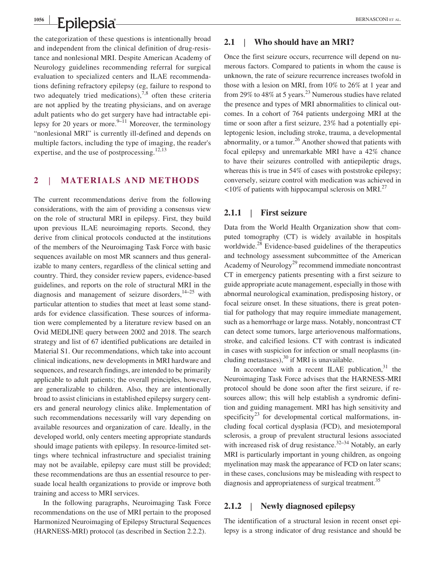the categorization of these questions is intentionally broad and independent from the clinical definition of drug-resistance and nonlesional MRI. Despite American Academy of Neurology guidelines recommending referral for surgical evaluation to specialized centers and ILAE recommendations defining refractory epilepsy (eg, failure to respond to two adequately tried medications),<sup>7,8</sup> often these criteria are not applied by the treating physicians, and on average adult patients who do get surgery have had intractable epilepsy for 20 years or more.<sup>9-11</sup> Moreover, the terminology "nonlesional MRI" is currently ill‐defined and depends on multiple factors, including the type of imaging, the reader's expertise, and the use of postprocessing. $12,13$ 

### **2** | **MATERIALS AND METHODS**

The current recommendations derive from the following considerations, with the aim of providing a consensus view on the role of structural MRI in epilepsy. First, they build upon previous ILAE neuroimaging reports. Second, they derive from clinical protocols conducted at the institutions of the members of the Neuroimaging Task Force with basic sequences available on most MR scanners and thus generalizable to many centers, regardless of the clinical setting and country. Third, they consider review papers, evidence‐based guidelines, and reports on the role of structural MRI in the diagnosis and management of seizure disorders, $14-25$  with particular attention to studies that meet at least some standards for evidence classification. These sources of information were complemented by a literature review based on an Ovid MEDLINE query between 2002 and 2018. The search strategy and list of 67 identified publications are detailed in Material S1. Our recommendations, which take into account clinical indications, new developments in MRI hardware and sequences, and research findings, are intended to be primarily applicable to adult patients; the overall principles, however, are generalizable to children. Also, they are intentionally broad to assist clinicians in established epilepsy surgery centers and general neurology clinics alike. Implementation of such recommendations necessarily will vary depending on available resources and organization of care. Ideally, in the developed world, only centers meeting appropriate standards should image patients with epilepsy. In resource-limited settings where technical infrastructure and specialist training may not be available, epilepsy care must still be provided; these recommendations are thus an essential resource to persuade local health organizations to provide or improve both training and access to MRI services.

In the following paragraphs, Neuroimaging Task Force recommendations on the use of MRI pertain to the proposed Harmonized Neuroimaging of Epilepsy Structural Sequences (HARNESS‐MRI) protocol (as described in Section 2.2.2).

#### **2.1** | **Who should have an MRI?**

Once the first seizure occurs, recurrence will depend on numerous factors. Compared to patients in whom the cause is unknown, the rate of seizure recurrence increases twofold in those with a lesion on MRI, from 10% to 26% at 1 year and from 29% to 48% at 5 years.<sup>23</sup> Numerous studies have related the presence and types of MRI abnormalities to clinical outcomes. In a cohort of 764 patients undergoing MRI at the time or soon after a first seizure, 23% had a potentially epileptogenic lesion, including stroke, trauma, a developmental abnormality, or a tumor. $26$  Another showed that patients with focal epilepsy and unremarkable MRI have a 42% chance to have their seizures controlled with antiepileptic drugs, whereas this is true in 54% of cases with poststroke epilepsy; conversely, seizure control with medication was achieved in  $\langle 10\%$  of patients with hippocampal sclerosis on MRI.<sup>27</sup>

#### **2.1.1** | **First seizure**

Data from the World Health Organization show that computed tomography (CT) is widely available in hospitals worldwide.<sup>28</sup> Evidence-based guidelines of the therapeutics and technology assessment subcommittee of the American Academy of Neurology<sup>29</sup> recommend immediate noncontrast CT in emergency patients presenting with a first seizure to guide appropriate acute management, especially in those with abnormal neurological examination, predisposing history, or focal seizure onset. In these situations, there is great potential for pathology that may require immediate management, such as a hemorrhage or large mass. Notably, noncontrast CT can detect some tumors, large arteriovenous malformations, stroke, and calcified lesions. CT with contrast is indicated in cases with suspicion for infection or small neoplasms (including metastases),  $30$  if MRI is unavailable.

In accordance with a recent ILAE publication, $31$  the Neuroimaging Task Force advises that the HARNESS‐MRI protocol should be done soon after the first seizure, if resources allow; this will help establish a syndromic definition and guiding management. MRI has high sensitivity and specificity<sup>23</sup> for developmental cortical malformations, including focal cortical dysplasia (FCD), and mesiotemporal sclerosis, a group of prevalent structural lesions associated with increased risk of drug resistance. $32-34$  Notably, an early MRI is particularly important in young children, as ongoing myelination may mask the appearance of FCD on later scans; in these cases, conclusions may be misleading with respect to diagnosis and appropriateness of surgical treatment.<sup>35</sup>

#### **2.1.2** | **Newly diagnosed epilepsy**

The identification of a structural lesion in recent onset epilepsy is a strong indicator of drug resistance and should be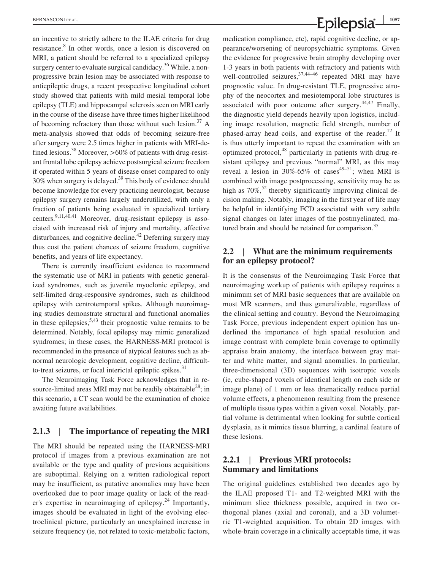an incentive to strictly adhere to the ILAE criteria for drug resistance.<sup>8</sup> In other words, once a lesion is discovered on MRI, a patient should be referred to a specialized epilepsy surgery center to evaluate surgical candidacy.<sup>36</sup> While, a nonprogressive brain lesion may be associated with response to antiepileptic drugs, a recent prospective longitudinal cohort study showed that patients with mild mesial temporal lobe epilepsy (TLE) and hippocampal sclerosis seen on MRI early in the course of the disease have three times higher likelihood of becoming refractory than those without such lesion.<sup>37</sup> A meta‐analysis showed that odds of becoming seizure‐free after surgery were 2.5 times higher in patients with MRI‐defined lesions.<sup>38</sup> Moreover, >60% of patients with drug-resistant frontal lobe epilepsy achieve postsurgical seizure freedom if operated within 5 years of disease onset compared to only  $30\%$  when surgery is delayed.<sup>39</sup> This body of evidence should become knowledge for every practicing neurologist, because epilepsy surgery remains largely underutilized, with only a fraction of patients being evaluated in specialized tertiary centers.9,11,40,41 Moreover, drug‐resistant epilepsy is associated with increased risk of injury and mortality, affective disturbances, and cognitive decline.<sup>42</sup> Deferring surgery may thus cost the patient chances of seizure freedom, cognitive benefits, and years of life expectancy.

There is currently insufficient evidence to recommend the systematic use of MRI in patients with genetic generalized syndromes, such as juvenile myoclonic epilepsy, and self-limited drug-responsive syndromes, such as childhood epilepsy with centrotemporal spikes. Although neuroimaging studies demonstrate structural and functional anomalies in these epilepsies,  $5,43$  their prognostic value remains to be determined. Notably, focal epilepsy may mimic generalized syndromes; in these cases, the HARNESS-MRI protocol is recommended in the presence of atypical features such as abnormal neurologic development, cognitive decline, difficultto-treat seizures, or focal interictal epileptic spikes. $31$ 

The Neuroimaging Task Force acknowledges that in resource-limited areas MRI may not be readily obtainable<sup>28</sup>; in this scenario, a CT scan would be the examination of choice awaiting future availabilities.

## **2.1.3** | **The importance of repeating the MRI**

The MRI should be repeated using the HARNESS‐MRI protocol if images from a previous examination are not available or the type and quality of previous acquisitions are suboptimal. Relying on a written radiological report may be insufficient, as putative anomalies may have been overlooked due to poor image quality or lack of the reader's expertise in neuroimaging of epilepsy.<sup>24</sup> Importantly, images should be evaluated in light of the evolving electroclinical picture, particularly an unexplained increase in seizure frequency (ie, not related to toxic-metabolic factors,

medication compliance, etc), rapid cognitive decline, or appearance/worsening of neuropsychiatric symptoms. Given the evidence for progressive brain atrophy developing over 1‐3 years in both patients with refractory and patients with well-controlled seizures,  $37,44-46$  repeated MRI may have prognostic value. In drug‐resistant TLE, progressive atrophy of the neocortex and mesiotemporal lobe structures is associated with poor outcome after surgery. $44,47$  Finally, the diagnostic yield depends heavily upon logistics, including image resolution, magnetic field strength, number of phased-array head coils, and expertise of the reader.<sup>12</sup> It is thus utterly important to repeat the examination with an optimized protocol,<sup>48</sup> particularly in patients with drug-resistant epilepsy and previous "normal" MRI, as this may reveal a lesion in  $30\% - 65\%$  of cases<sup>49–51</sup>; when MRI is combined with image postprocessing, sensitivity may be as high as  $70\%$ ,<sup>52</sup> thereby significantly improving clinical decision making. Notably, imaging in the first year of life may be helpful in identifying FCD associated with very subtle signal changes on later images of the postmyelinated, matured brain and should be retained for comparison.<sup>35</sup>

### **2.2** | **What are the minimum requirements for an epilepsy protocol?**

It is the consensus of the Neuroimaging Task Force that neuroimaging workup of patients with epilepsy requires a minimum set of MRI basic sequences that are available on most MR scanners, and thus generalizable, regardless of the clinical setting and country. Beyond the Neuroimaging Task Force, previous independent expert opinion has underlined the importance of high spatial resolution and image contrast with complete brain coverage to optimally appraise brain anatomy, the interface between gray matter and white matter, and signal anomalies. In particular, three‐dimensional (3D) sequences with isotropic voxels (ie, cube‐shaped voxels of identical length on each side or image plane) of 1 mm or less dramatically reduce partial volume effects, a phenomenon resulting from the presence of multiple tissue types within a given voxel. Notably, partial volume is detrimental when looking for subtle cortical dysplasia, as it mimics tissue blurring, a cardinal feature of these lesions.

## **2.2.1** | **Previous MRI protocols: Summary and limitations**

The original guidelines established two decades ago by the ILAE proposed T1‐ and T2‐weighted MRI with the minimum slice thickness possible, acquired in two orthogonal planes (axial and coronal), and a 3D volumetric T1‐weighted acquisition. To obtain 2D images with whole-brain coverage in a clinically acceptable time, it was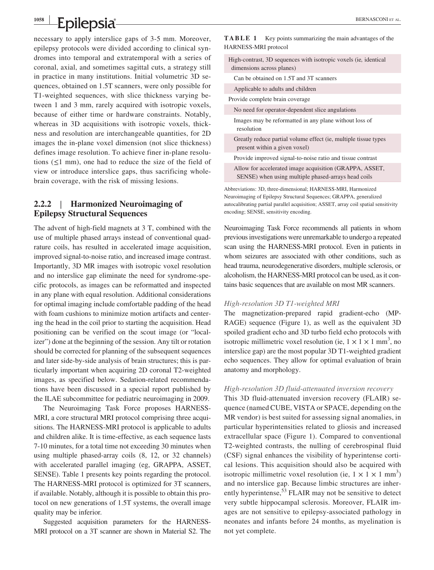necessary to apply interslice gaps of 3‐5 mm. Moreover, epilepsy protocols were divided according to clinical syndromes into temporal and extratemporal with a series of coronal, axial, and sometimes sagittal cuts, a strategy still in practice in many institutions. Initial volumetric 3D sequences, obtained on 1.5T scanners, were only possible for T1‐weighted sequences, with slice thickness varying between 1 and 3 mm, rarely acquired with isotropic voxels, because of either time or hardware constraints. Notably, whereas in 3D acquisitions with isotropic voxels, thickness and resolution are interchangeable quantities, for 2D images the in‐plane voxel dimension (not slice thickness) defines image resolution. To achieve finer in‐plane resolutions  $(\leq 1$  mm), one had to reduce the size of the field of view or introduce interslice gaps, thus sacrificing whole‐ brain coverage, with the risk of missing lesions.

## **2.2.2** | **Harmonized Neuroimaging of Epilepsy Structural Sequences**

The advent of high-field magnets at 3 T, combined with the use of multiple phased arrays instead of conventional quadrature coils, has resulted in accelerated image acquisition, improved signal‐to‐noise ratio, and increased image contrast. Importantly, 3D MR images with isotropic voxel resolution and no interslice gap eliminate the need for syndrome‐specific protocols, as images can be reformatted and inspected in any plane with equal resolution. Additional considerations for optimal imaging include comfortable padding of the head with foam cushions to minimize motion artifacts and centering the head in the coil prior to starting the acquisition. Head positioning can be verified on the scout image (or "localizer") done at the beginning of the session. Any tilt or rotation should be corrected for planning of the subsequent sequences and later side‐by‐side analysis of brain structures; this is particularly important when acquiring 2D coronal T2‐weighted images, as specified below. Sedation-related recommendations have been discussed in a special report published by the ILAE subcommittee for pediatric neuroimaging in 2009.

The Neuroimaging Task Force proposes HARNESS‐ MRI, a core structural MRI protocol comprising three acquisitions. The HARNESS‐MRI protocol is applicable to adults and children alike. It is time‐effective, as each sequence lasts 7‐10 minutes, for a total time not exceeding 30 minutes when using multiple phased‐array coils (8, 12, or 32 channels) with accelerated parallel imaging (eg, GRAPPA, ASSET, SENSE). Table 1 presents key points regarding the protocol. The HARNESS‐MRI protocol is optimized for 3T scanners, if available. Notably, although it is possible to obtain this protocol on new generations of 1.5T systems, the overall image quality may be inferior.

Suggested acquisition parameters for the HARNESS‐ MRI protocol on a 3T scanner are shown in Material S2. The **TABLE 1** Key points summarizing the main advantages of the HARNESS‐MRI protocol

High‐contrast, 3D sequences with isotropic voxels (ie*,* identical dimensions across planes)

Can be obtained on 1.5T and 3T scanners

Applicable to adults and children

Provide complete brain coverage

No need for operator‐dependent slice angulations

Images may be reformatted in any plane without loss of resolution

Greatly reduce partial volume effect (ie, multiple tissue types present within a given voxel)

Provide improved signal‐to‐noise ratio and tissue contrast

Allow for accelerated image acquisition (GRAPPA, ASSET, SENSE) when using multiple phased-arrays head coils

Abbreviations: 3D, three‐dimensional; HARNESS‐MRI, Harmonized Neuroimaging of Epilepsy Structural Sequences; GRAPPA, generalized autocalibrating partial parallel acquisition; ASSET, array coil spatial sensitivity encoding; SENSE, sensitivity encoding.

Neuroimaging Task Force recommends all patients in whom previous investigations were unremarkable to undergo a repeated scan using the HARNESS‐MRI protocol. Even in patients in whom seizures are associated with other conditions, such as head trauma, neurodegenerative disorders, multiple sclerosis, or alcoholism, the HARNESS‐MRI protocol can be used, as it contains basic sequences that are available on most MR scanners.

#### *High‐resolution 3D T1‐weighted MRI*

The magnetization-prepared rapid gradient-echo (MP-RAGE) sequence (Figure 1), as well as the equivalent 3D spoiled gradient echo and 3D turbo field echo protocols with isotropic millimetric voxel resolution (ie,  $1 \times 1 \times 1$  mm<sup>3</sup>, no interslice gap) are the most popular 3D T1‐weighted gradient echo sequences. They allow for optimal evaluation of brain anatomy and morphology.

#### *High‐resolution 3D fluid‐attenuated inversion recovery*

This 3D fluid‐attenuated inversion recovery (FLAIR) sequence (named CUBE, VISTA or SPACE, depending on the MR vendor) is best suited for assessing signal anomalies, in particular hyperintensities related to gliosis and increased extracellular space (Figure 1). Compared to conventional T2‐weighted contrasts, the nulling of cerebrospinal fluid (CSF) signal enhances the visibility of hyperintense cortical lesions. This acquisition should also be acquired with isotropic millimetric voxel resolution (ie,  $1 \times 1 \times 1$  mm<sup>3</sup>) and no interslice gap. Because limbic structures are inherently hyperintense,<sup>53</sup> FLAIR may not be sensitive to detect very subtle hippocampal sclerosis. Moreover, FLAIR images are not sensitive to epilepsy‐associated pathology in neonates and infants before 24 months, as myelination is not yet complete.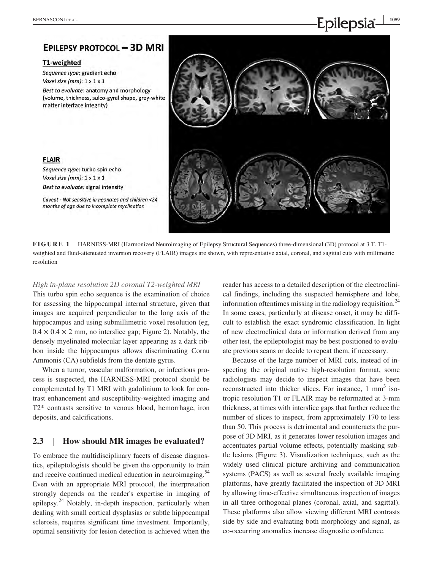## **EPILEPSY PROTOCOL - 3D MRI**

#### T1-weighted

**FLAIR** 

Sequence type: gradient echo Voxel size (mm):  $1 \times 1 \times 1$ 

Sequence type: turbo spin echo Voxel size ( $mm$ ):  $1 \times 1 \times 1$ Best to evaluate: signal intensity

Best to evaluate: anatomy and morphology (volume, thickness, sulco-gyral shape, grey-white matter interface integrity)

Caveat - Not sensitive in neonates and children <24 months of age due to incomplete myelination



**FIGURE 1** HARNESS-MRI (Harmonized Neuroimaging of Epilepsy Structural Sequences) three-dimensional (3D) protocol at 3 T. T1weighted and fluid-attenuated inversion recovery (FLAIR) images are shown, with representative axial, coronal, and sagittal cuts with millimetric resolution

### *High in‐plane resolution 2D coronal T2‐weighted MRI*

This turbo spin echo sequence is the examination of choice for assessing the hippocampal internal structure, given that images are acquired perpendicular to the long axis of the hippocampus and using submillimetric voxel resolution (eg,  $0.4 \times 0.4 \times 2$  mm, no interslice gap; Figure 2). Notably, the densely myelinated molecular layer appearing as a dark ribbon inside the hippocampus allows discriminating Cornu Ammonis (CA) subfields from the dentate gyrus.

When a tumor, vascular malformation, or infectious process is suspected, the HARNESS‐MRI protocol should be complemented by T1 MRI with gadolinium to look for contrast enhancement and susceptibility‐weighted imaging and T2\* contrasts sensitive to venous blood, hemorrhage, iron deposits, and calcifications.

## **2.3** | **How should MR images be evaluated?**

To embrace the multidisciplinary facets of disease diagnostics, epileptologists should be given the opportunity to train and receive continued medical education in neuroimaging.<sup>54</sup> Even with an appropriate MRI protocol, the interpretation strongly depends on the reader's expertise in imaging of epilepsy.24 Notably, in‐depth inspection, particularly when dealing with small cortical dysplasias or subtle hippocampal sclerosis, requires significant time investment. Importantly, optimal sensitivity for lesion detection is achieved when the

reader has access to a detailed description of the electroclinical findings, including the suspected hemisphere and lobe, information oftentimes missing in the radiology requisition.<sup>24</sup> In some cases, particularly at disease onset, it may be difficult to establish the exact syndromic classification. In light of new electroclinical data or information derived from any other test, the epileptologist may be best positioned to evaluate previous scans or decide to repeat them, if necessary.

Because of the large number of MRI cuts, instead of inspecting the original native high-resolution format, some radiologists may decide to inspect images that have been reconstructed into thicker slices. For instance,  $1 \text{ mm}^3$  isotropic resolution T1 or FLAIR may be reformatted at 3‐mm thickness, at times with interslice gaps that further reduce the number of slices to inspect, from approximately 170 to less than 50. This process is detrimental and counteracts the purpose of 3D MRI, as it generates lower resolution images and accentuates partial volume effects, potentially masking subtle lesions (Figure 3). Visualization techniques, such as the widely used clinical picture archiving and communication systems (PACS) as well as several freely available imaging platforms, have greatly facilitated the inspection of 3D MRI by allowing time‐effective simultaneous inspection of images in all three orthogonal planes (coronal, axial, and sagittal). These platforms also allow viewing different MRI contrasts side by side and evaluating both morphology and signal, as co‐occurring anomalies increase diagnostic confidence.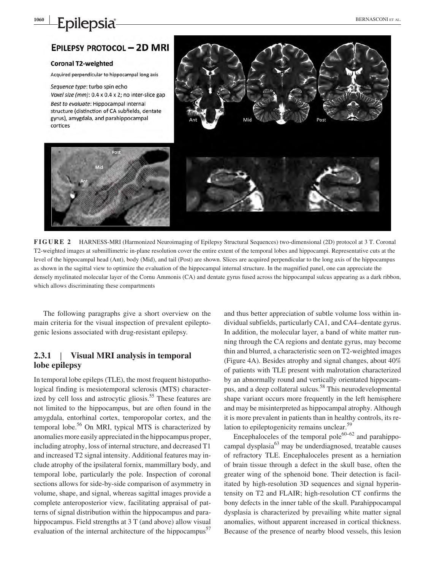## **EPILEPSY PROTOCOL - 2D MRI**

#### **Coronal T2-weighted**

Acquired perpendicular to hippocampal long axis

Sequence type: turbo spin echo Voxel size (mm): 0.4 x 0.4 x 2; no inter-slice gap Best to evaluate: Hippocampal internal structure (distinction of CA subfields, dentate gyrus), amygdala, and parahippocampal cortices



**FIGURE 2** HARNESS-MRI (Harmonized Neuroimaging of Epilepsy Structural Sequences) two-dimensional (2D) protocol at 3 T. Coronal T2‐weighted images at submillimetric in‐plane resolution cover the entire extent of the temporal lobes and hippocampi. Representative cuts at the level of the hippocampal head (Ant), body (Mid), and tail (Post) are shown. Slices are acquired perpendicular to the long axis of the hippocampus as shown in the sagittal view to optimize the evaluation of the hippocampal internal structure. In the magnified panel, one can appreciate the densely myelinated molecular layer of the Cornu Ammonis (CA) and dentate gyrus fused across the hippocampal sulcus appearing as a dark ribbon, which allows discriminating these compartments

The following paragraphs give a short overview on the main criteria for the visual inspection of prevalent epileptogenic lesions associated with drug‐resistant epilepsy.

## **2.3.1** | **Visual MRI analysis in temporal lobe epilepsy**

In temporal lobe epileps (TLE), the most frequent histopathological finding is mesiotemporal sclerosis (MTS) characterized by cell loss and astrocytic gliosis.<sup>55</sup> These features are not limited to the hippocampus, but are often found in the amygdala, entorhinal cortex, temporopolar cortex, and the temporal lobe.<sup>56</sup> On MRI, typical MTS is characterized by anomalies more easily appreciated in the hippocampus proper, including atrophy, loss of internal structure, and decreased T1 and increased T2 signal intensity. Additional features may include atrophy of the ipsilateral fornix, mammillary body, and temporal lobe, particularly the pole. Inspection of coronal sections allows for side-by-side comparison of asymmetry in volume, shape, and signal, whereas sagittal images provide a complete anteroposterior view, facilitating appraisal of patterns of signal distribution within the hippocampus and parahippocampus. Field strengths at 3 T (and above) allow visual evaluation of the internal architecture of the hippocampus<sup>57</sup>

and thus better appreciation of subtle volume loss within individual subfields, particularly CA1, and CA4–dentate gyrus. In addition, the molecular layer, a band of white matter running through the CA regions and dentate gyrus, may become thin and blurred, a characteristic seen on T2‐weighted images (Figure 4A). Besides atrophy and signal changes, about 40% of patients with TLE present with malrotation characterized by an abnormally round and vertically orientated hippocampus, and a deep collateral sulcus.<sup>58</sup> This neurodevelopmental shape variant occurs more frequently in the left hemisphere and may be misinterpreted as hippocampal atrophy. Although it is more prevalent in patients than in healthy controls, its relation to epileptogenicity remains unclear.<sup>59</sup>

Encephaloceles of the temporal pole<sup>60–62</sup> and parahippocampal dysplasia $63$  may be underdiagnosed, treatable causes of refractory TLE. Encephaloceles present as a herniation of brain tissue through a defect in the skull base, often the greater wing of the sphenoid bone. Their detection is facilitated by high‐resolution 3D sequences and signal hyperintensity on T2 and FLAIR; high‐resolution CT confirms the bony defects in the inner table of the skull. Parahippocampal dysplasia is characterized by prevailing white matter signal anomalies, without apparent increased in cortical thickness. Because of the presence of nearby blood vessels, this lesion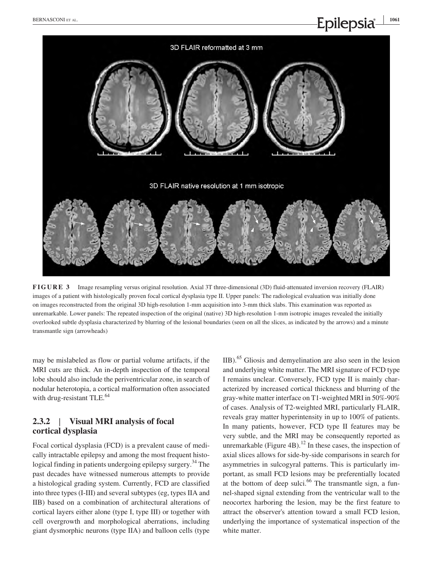

**FIGURE 3** Image resampling versus original resolution. Axial 3T three-dimensional (3D) fluid-attenuated inversion recovery (FLAIR) images of a patient with histologically proven focal cortical dysplasia type II. Upper panels: The radiological evaluation was initially done on images reconstructed from the original 3D high‐resolution 1‐mm acquisition into 3‐mm thick slabs. This examination was reported as unremarkable. Lower panels: The repeated inspection of the original (native) 3D high-resolution 1-mm isotropic images revealed the initially overlooked subtle dysplasia characterized by blurring of the lesional boundaries (seen on all the slices, as indicated by the arrows) and a minute transmantle sign (arrowheads)

may be mislabeled as flow or partial volume artifacts, if the MRI cuts are thick. An in‐depth inspection of the temporal lobe should also include the periventricular zone, in search of nodular heterotopia, a cortical malformation often associated with drug-resistant TLE.<sup>64</sup>

## **2.3.2** | **Visual MRI analysis of focal cortical dysplasia**

Focal cortical dysplasia (FCD) is a prevalent cause of medically intractable epilepsy and among the most frequent histological finding in patients undergoing epilepsy surgery.<sup>34</sup> The past decades have witnessed numerous attempts to provide a histological grading system. Currently, FCD are classified into three types (I‐III) and several subtypes (eg, types IIA and IIB) based on a combination of architectural alterations of cortical layers either alone (type I, type III) or together with cell overgrowth and morphological aberrations, including giant dysmorphic neurons (type IIA) and balloon cells (type

IIB).65 Gliosis and demyelination are also seen in the lesion and underlying white matter. The MRI signature of FCD type I remains unclear. Conversely, FCD type II is mainly characterized by increased cortical thickness and blurring of the gray‐white matter interface on T1‐weighted MRI in 50%‐90% of cases. Analysis of T2‐weighted MRI, particularly FLAIR, reveals gray matter hyperintensity in up to 100% of patients. In many patients, however, FCD type II features may be very subtle, and the MRI may be consequently reported as unremarkable (Figure 4B).<sup>12</sup> In these cases, the inspection of axial slices allows for side‐by‐side comparisons in search for asymmetries in sulcogyral patterns. This is particularly important, as small FCD lesions may be preferentially located at the bottom of deep sulci. $66$  The transmantle sign, a funnel‐shaped signal extending from the ventricular wall to the neocortex harboring the lesion, may be the first feature to attract the observer's attention toward a small FCD lesion, underlying the importance of systematical inspection of the white matter.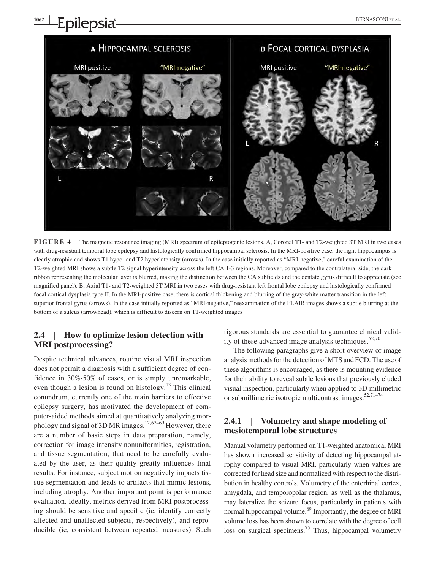

**FIGURE 4** The magnetic resonance imaging (MRI) spectrum of epileptogenic lesions. A, Coronal T1‐ and T2‐weighted 3T MRI in two cases with drug-resistant temporal lobe epilepsy and histologically confirmed hippocampal sclerosis. In the MRI-positive case, the right hippocampus is clearly atrophic and shows T1 hypo- and T2 hyperintensity (arrows). In the case initially reported as "MRI-negative," careful examination of the T2-weighted MRI shows a subtle T2 signal hyperintensity across the left CA 1-3 regions. Moreover, compared to the contralateral side, the dark ribbon representing the molecular layer is blurred, making the distinction between the CA subfields and the dentate gyrus difficult to appreciate (see magnified panel). B, Axial T1- and T2-weighted 3T MRI in two cases with drug-resistant left frontal lobe epilepsy and histologically confirmed focal cortical dysplasia type II. In the MRI-positive case, there is cortical thickening and blurring of the gray-white matter transition in the left superior frontal gyrus (arrows). In the case initially reported as "MRI-negative," reexamination of the FLAIR images shows a subtle blurring at the bottom of a sulcus (arrowhead), which is difficult to discern on T1‐weighted images

## **2.4** | **How to optimize lesion detection with MRI postprocessing?**

**<sup>1062</sup> <sup>|</sup>**

Despite technical advances, routine visual MRI inspection does not permit a diagnosis with a sufficient degree of confidence in 30%‐50% of cases, or is simply unremarkable, even though a lesion is found on histology.<sup>13</sup> This clinical conundrum, currently one of the main barriers to effective epilepsy surgery, has motivated the development of computer‐aided methods aimed at quantitatively analyzing morphology and signal of 3D MR images.<sup>12,67–69</sup> However, there are a number of basic steps in data preparation, namely, correction for image intensity nonuniformities, registration, and tissue segmentation, that need to be carefully evaluated by the user, as their quality greatly influences final results. For instance, subject motion negatively impacts tissue segmentation and leads to artifacts that mimic lesions, including atrophy. Another important point is performance evaluation. Ideally, metrics derived from MRI postprocessing should be sensitive and specific (ie, identify correctly affected and unaffected subjects, respectively), and reproducible (ie, consistent between repeated measures). Such

rigorous standards are essential to guarantee clinical validity of these advanced image analysis techniques. $52,70$ 

The following paragraphs give a short overview of image analysis methods for the detection of MTS and FCD. The use of these algorithms is encouraged, as there is mounting evidence for their ability to reveal subtle lesions that previously eluded visual inspection, particularly when applied to 3D millimetric or submillimetric isotropic multicontrast images. $52,71-74$ 

### **2.4.1** | **Volumetry and shape modeling of mesiotemporal lobe structures**

Manual volumetry performed on T1‐weighted anatomical MRI has shown increased sensitivity of detecting hippocampal atrophy compared to visual MRI, particularly when values are corrected for head size and normalized with respect to the distribution in healthy controls. Volumetry of the entorhinal cortex, amygdala, and temporopolar region, as well as the thalamus, may lateralize the seizure focus, particularly in patients with normal hippocampal volume.<sup>69</sup> Importantly, the degree of MRI volume loss has been shown to correlate with the degree of cell loss on surgical specimens.<sup>75</sup> Thus, hippocampal volumetry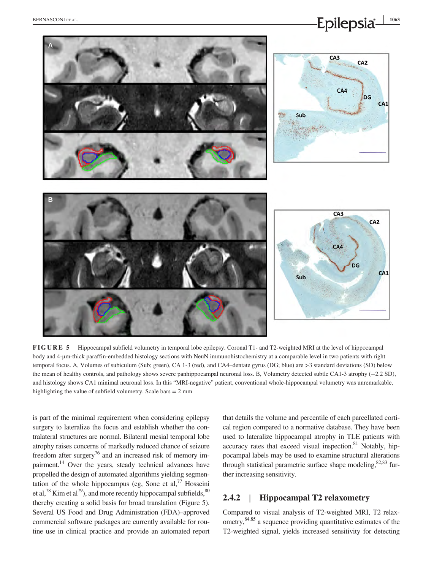

**FIGURE 5** Hippocampal subfield volumetry in temporal lobe epilepsy. Coronal T1‐ and T2‐weighted MRI at the level of hippocampal body and 4-µm-thick paraffin-embedded histology sections with NeuN immunohistochemistry at a comparable level in two patients with right temporal focus. A, Volumes of subiculum (Sub; green), CA 1‐3 (red), and CA4–dentate gyrus (DG; blue) are >3 standard deviations (SD) below the mean of healthy controls, and pathology shows severe panhippocampal neuronal loss. B, Volumetry detected subtle CA1‐3 atrophy (−2.2 SD), and histology shows CA1 minimal neuronal loss. In this "MRI-negative" patient, conventional whole-hippocampal volumetry was unremarkable, highlighting the value of subfield volumetry. Scale bars = 2 mm

is part of the minimal requirement when considering epilepsy surgery to lateralize the focus and establish whether the contralateral structures are normal. Bilateral mesial temporal lobe atrophy raises concerns of markedly reduced chance of seizure freedom after surgery<sup>76</sup> and an increased risk of memory impairment.<sup>14</sup> Over the years, steady technical advances have propelled the design of automated algorithms yielding segmentation of the whole hippocampus (eg, Sone et  $al$ ,<sup>77</sup> Hosseini et al,  $^{78}$  Kim et al,  $^{79}$ ), and more recently hippocampal subfields,  $^{80}$ thereby creating a solid basis for broad translation (Figure 5). Several US Food and Drug Administration (FDA)–approved commercial software packages are currently available for routine use in clinical practice and provide an automated report that details the volume and percentile of each parcellated cortical region compared to a normative database. They have been used to lateralize hippocampal atrophy in TLE patients with accuracy rates that exceed visual inspection. $81$  Notably, hippocampal labels may be used to examine structural alterations through statistical parametric surface shape modeling, $82,83$  further increasing sensitivity.

## **2.4.2** | **Hippocampal T2 relaxometry**

Compared to visual analysis of T2‐weighted MRI, T2 relaxometry,84,85 a sequence providing quantitative estimates of the T2‐weighted signal, yields increased sensitivity for detecting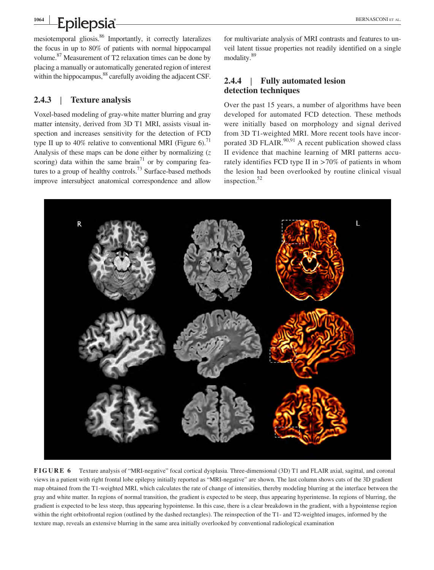**Epilepsia** 

mesiotemporal gliosis.86 Importantly, it correctly lateralizes the focus in up to 80% of patients with normal hippocampal volume.<sup>87</sup> Measurement of T2 relaxation times can be done by placing a manually or automatically generated region of interest within the hippocampus,<sup>88</sup> carefully avoiding the adjacent CSF.

## **2.4.3** | **Texture analysis**

Voxel‐based modeling of gray‐white matter blurring and gray matter intensity, derived from 3D T1 MRI, assists visual inspection and increases sensitivity for the detection of FCD type II up to 40% relative to conventional MRI (Figure 6).<sup>71</sup> Analysis of these maps can be done either by normalizing (*z* scoring) data within the same brain<sup>71</sup> or by comparing features to a group of healthy controls.<sup>73</sup> Surface-based methods improve intersubject anatomical correspondence and allow

for multivariate analysis of MRI contrasts and features to unveil latent tissue properties not readily identified on a single modality.89

## **2.4.4** | **Fully automated lesion detection techniques**

Over the past 15 years, a number of algorithms have been developed for automated FCD detection. These methods were initially based on morphology and signal derived from 3D T1-weighted MRI. More recent tools have incorporated 3D FLAIR. $90,91$  A recent publication showed class II evidence that machine learning of MRI patterns accurately identifies FCD type II in >70% of patients in whom the lesion had been overlooked by routine clinical visual inspection.<sup>52</sup>



**FIGURE 6** Texture analysis of "MRI‐negative" focal cortical dysplasia. Three‐dimensional (3D) T1 and FLAIR axial, sagittal, and coronal views in a patient with right frontal lobe epilepsy initially reported as "MRI‐negative" are shown. The last column shows cuts of the 3D gradient map obtained from the T1‐weighted MRI, which calculates the rate of change of intensities, thereby modeling blurring at the interface between the gray and white matter. In regions of normal transition, the gradient is expected to be steep, thus appearing hyperintense. In regions of blurring, the gradient is expected to be less steep, thus appearing hypointense. In this case, there is a clear breakdown in the gradient, with a hypointense region within the right orbitofrontal region (outlined by the dashed rectangles). The reinspection of the T1- and T2-weighted images, informed by the texture map, reveals an extensive blurring in the same area initially overlooked by conventional radiological examination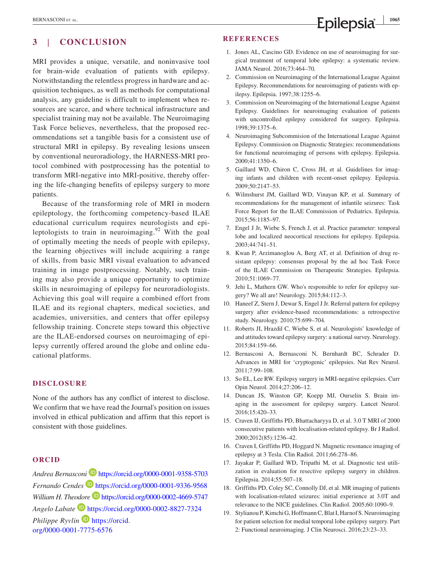# **EXERNASCONI ET AL. 1065**<br>**Epilepsia**  $\frac{1}{2}$

## **3** | **CONCLUSION**

MRI provides a unique, versatile, and noninvasive tool for brain‐wide evaluation of patients with epilepsy. Notwithstanding the relentless progress in hardware and acquisition techniques, as well as methods for computational analysis, any guideline is difficult to implement when resources are scarce, and where technical infrastructure and specialist training may not be available. The Neuroimaging Task Force believes, nevertheless, that the proposed recommendations set a tangible basis for a consistent use of structural MRI in epilepsy. By revealing lesions unseen by conventional neuroradiology, the HARNESS‐MRI protocol combined with postprocessing has the potential to transform MRI‐negative into MRI‐positive, thereby offering the life-changing benefits of epilepsy surgery to more patients.

Because of the transforming role of MRI in modern epileptology, the forthcoming competency‐based ILAE educational curriculum requires neurologists and epileptologists to train in neuroimaging.<sup>92</sup> With the goal of optimally meeting the needs of people with epilepsy, the learning objectives will include acquiring a range of skills, from basic MRI visual evaluation to advanced training in image postprocessing. Notably, such training may also provide a unique opportunity to optimize skills in neuroimaging of epilepsy for neuroradiologists. Achieving this goal will require a combined effort from ILAE and its regional chapters, medical societies, and academies, universities, and centers that offer epilepsy fellowship training. Concrete steps toward this objective are the ILAE‐endorsed courses on neuroimaging of epilepsy currently offered around the globe and online educational platforms.

#### **DISCLOSURE**

None of the authors has any conflict of interest to disclose. We confirm that we have read the Journal's position on issues involved in ethical publication and affirm that this report is consistent with those guidelines.

#### **ORCID**

*Andrea Bernasconi* <https://orcid.org/0000-0001-9358-5703> *Fernando Cendes* <https://orcid.org/0000-0001-9336-9568> *William H. Theodore* <https://orcid.org/0000-0002-4669-5747> *Angelo Labate* <https://orcid.org/0000-0002-8827-7324> *Philippe Ryvlin* **D** [https://orcid.](https://orcid.org/0000-0001-7775-6576) [org/0000-0001-7775-6576](https://orcid.org/0000-0001-7775-6576)

#### **REFERENCES**

- 1. Jones AL, Cascino GD. Evidence on use of neuroimaging for surgical treatment of temporal lobe epilepsy: a systematic review. JAMA Neurol. 2016;73:464–70.
- 2. Commission on Neuroimaging of the International League Against Epilepsy. Recommendations for neuroimaging of patients with epilepsy. Epilepsia. 1997;38:1255–6.
- 3. Commission on Neuroimaging of the International League Against Epilepsy. Guidelines for neuroimaging evaluation of patients with uncontrolled epilepsy considered for surgery. Epilepsia. 1998;39:1375–6.
- 4. Neuroimaging Subcommision of the International League Against Epilepsy. Commission on Diagnostic Strategies: recommendations for functional neuroimaging of persons with epilepsy. Epilepsia. 2000;41:1350–6.
- 5. Gaillard WD, Chiron C, Cross JH, et al. Guidelines for imaging infants and children with recent‐onset epilepsy. Epilepsia. 2009;50:2147–53.
- 6. Wilmshurst JM, Gaillard WD, Vinayan KP, et al. Summary of recommendations for the management of infantile seizures: Task Force Report for the ILAE Commission of Pediatrics. Epilepsia. 2015;56:1185–97.
- 7. Engel J Jr, Wiebe S, French J, et al. Practice parameter: temporal lobe and localized neocortical resections for epilepsy. Epilepsia. 2003;44:741–51.
- 8. Kwan P, Arzimanoglou A, Berg AT, et al. Definition of drug resistant epilepsy: consensus proposal by the ad hoc Task Force of the ILAE Commission on Therapeutic Strategies. Epilepsia. 2010;51:1069–77.
- 9. Jehi L, Mathern GW. Who's responsible to refer for epilepsy surgery? We all are! Neurology. 2015;84:112–3.
- 10. Haneef Z, Stern J, Dewar S, Engel J Jr. Referral pattern for epilepsy surgery after evidence‐based recommendations: a retrospective study. Neurology. 2010;75:699–704.
- 11. Roberts JI, Hrazdil C, Wiebe S, et al. Neurologists' knowledge of and attitudes toward epilepsy surgery: a national survey. Neurology. 2015;84:159–66.
- 12. Bernasconi A, Bernasconi N, Bernhardt BC, Schrader D. Advances in MRI for 'cryptogenic' epilepsies. Nat Rev Neurol. 2011;7:99–108.
- 13. So EL, Lee RW. Epilepsy surgery in MRI-negative epilepsies. Curr Opin Neurol. 2014;27:206–12.
- 14. Duncan JS, Winston GP, Koepp MJ, Ourselin S. Brain imaging in the assessment for epilepsy surgery. Lancet Neurol. 2016;15:420–33.
- 15. Craven IJ, Griffiths PD, Bhattacharyya D, et al. 3.0 T MRI of 2000 consecutive patients with localisation‐related epilepsy. Br J Radiol. 2000;2012(85):1236–42.
- 16. Craven I, Griffiths PD, Hoggard N. Magnetic resonance imaging of epilepsy at 3 Tesla. Clin Radiol. 2011;66:278–86.
- 17. Jayakar P, Gaillard WD, Tripathi M, et al. Diagnostic test utilization in evaluation for resective epilepsy surgery in children. Epilepsia. 2014;55:507–18.
- 18. Griffiths PD, Coley SC, Connolly DJ, et al. MR imaging of patients with localisation‐related seizures: initial experience at 3.0T and relevance to the NICE guidelines. Clin Radiol. 2005;60:1090–9.
- 19. Stylianou P, Kimchi G, Hoffmann C, Blat I, Harnof S. Neuroimaging for patient selection for medial temporal lobe epilepsy surgery. Part 2: Functional neuroimaging. J Clin Neurosci. 2016;23:23–33.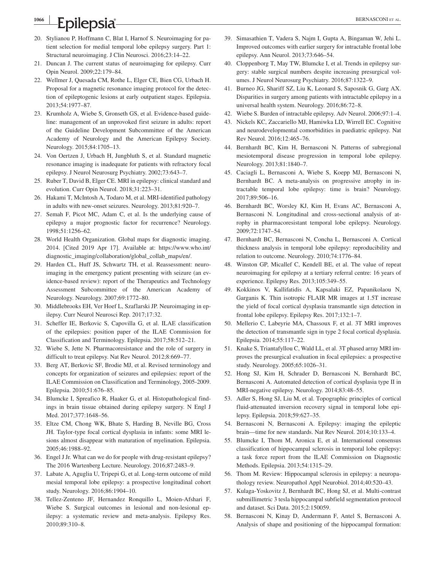- 20. Stylianou P, Hoffmann C, Blat I, Harnof S. Neuroimaging for patient selection for medial temporal lobe epilepsy surgery. Part 1: Structural neuroimaging. J Clin Neurosci. 2016;23:14–22.
- 21. Duncan J. The current status of neuroimaging for epilepsy. Curr Opin Neurol. 2009;22:179–84.
- 22. Wellmer J, Quesada CM, Rothe L, Elger CE, Bien CG, Urbach H. Proposal for a magnetic resonance imaging protocol for the detection of epileptogenic lesions at early outpatient stages. Epilepsia. 2013;54:1977–87.
- 23. Krumholz A, Wiebe S, Gronseth GS, et al. Evidence‐based guideline: management of an unprovoked first seizure in adults: report of the Guideline Development Subcommittee of the American Academy of Neurology and the American Epilepsy Society. Neurology. 2015;84:1705–13.
- 24. Von Oertzen J, Urbach H, Jungbluth S, et al. Standard magnetic resonance imaging is inadequate for patients with refractory focal epilepsy. J Neurol Neurosurg Psychiatry. 2002;73:643–7.
- 25. Ruber T, David B, Elger CE. MRI in epilepsy: clinical standard and evolution. Curr Opin Neurol. 2018;31:223–31.
- 26. Hakami T, McIntosh A, Todaro M, et al. MRI‐identified pathology in adults with new-onset seizures. Neurology. 2013;81:920-7.
- 27. Semah F, Picot MC, Adam C, et al. Is the underlying cause of epilepsy a major prognostic factor for recurrence? Neurology. 1998;51:1256–62.
- 28. World Health Organization. Global maps for diagnostic imaging. 2014. [Cited 2019 Apr 17]. Available at: [https://www.who.int/](https://www.who.int/diagnostic_imaging/collaboration/global_collab_maps/en/) [diagnostic\\_imaging/collaboration/global\\_collab\\_maps/en/](https://www.who.int/diagnostic_imaging/collaboration/global_collab_maps/en/).
- 29. Harden CL, Huff JS, Schwartz TH, et al. Reassessment: neuroimaging in the emergency patient presenting with seizure (an evidence-based review): report of the Therapeutics and Technology Assessment Subcommittee of the American Academy of Neurology. Neurology. 2007;69:1772–80.
- 30. Middlebrooks EH, Ver Hoef L, Szaflarski JP. Neuroimaging in epilepsy. Curr Neurol Neurosci Rep. 2017;17:32.
- 31. Scheffer IE, Berkovic S, Capovilla G, et al. ILAE classification of the epilepsies: position paper of the ILAE Commission for Classification and Terminology. Epilepsia. 2017;58:512–21.
- 32. Wiebe S, Jette N. Pharmacoresistance and the role of surgery in difficult to treat epilepsy. Nat Rev Neurol. 2012;8:669–77.
- 33. Berg AT, Berkovic SF, Brodie MJ, et al. Revised terminology and concepts for organization of seizures and epilepsies: report of the ILAE Commission on Classification and Terminology, 2005‐2009. Epilepsia. 2010;51:676–85.
- 34. Blumcke I, Spreafico R, Haaker G, et al. Histopathological findings in brain tissue obtained during epilepsy surgery. N Engl J Med. 2017;377:1648–56.
- 35. Eltze CM, Chong WK, Bhate S, Harding B, Neville BG, Cross JH. Taylor‐type focal cortical dysplasia in infants: some MRI lesions almost disappear with maturation of myelination. Epilepsia. 2005;46:1988–92.
- 36. Engel J Jr. What can we do for people with drug-resistant epilepsy? The 2016 Wartenberg Lecture. Neurology. 2016;87:2483–9.
- 37. Labate A, Aguglia U, Tripepi G, et al. Long‐term outcome of mild mesial temporal lobe epilepsy: a prospective longitudinal cohort study. Neurology. 2016;86:1904–10.
- 38. Tellez‐Zenteno JF, Hernandez Ronquillo L, Moien‐Afshari F, Wiebe S. Surgical outcomes in lesional and non‐lesional epilepsy: a systematic review and meta‐analysis. Epilepsy Res. 2010;89:310–8.
- 39. Simasathien T, Vadera S, Najm I, Gupta A, Bingaman W, Jehi L. Improved outcomes with earlier surgery for intractable frontal lobe epilepsy. Ann Neurol. 2013;73:646–54.
- 40. Cloppenborg T, May TW, Blumcke I, et al. Trends in epilepsy surgery: stable surgical numbers despite increasing presurgical volumes. J Neurol Neurosurg Psychiatry. 2016;87:1322–9.
- 41. Burneo JG, Shariff SZ, Liu K, Leonard S, Saposnik G, Garg AX. Disparities in surgery among patients with intractable epilepsy in a universal health system. Neurology. 2016;86:72–8.
- 42. Wiebe S. Burden of intractable epilepsy. Adv Neurol. 2006;97:1–4.
- 43. Nickels KC, Zaccariello MJ, Hamiwka LD, Wirrell EC. Cognitive and neurodevelopmental comorbidities in paediatric epilepsy. Nat Rev Neurol. 2016;12:465–76.
- 44. Bernhardt BC, Kim H, Bernasconi N. Patterns of subregional mesiotemporal disease progression in temporal lobe epilepsy. Neurology. 2013;81:1840–7.
- 45. Caciagli L, Bernasconi A, Wiebe S, Koepp MJ, Bernasconi N, Bernhardt BC. A meta‐analysis on progressive atrophy in intractable temporal lobe epilepsy: time is brain? Neurology. 2017;89:506–16.
- 46. Bernhardt BC, Worsley KJ, Kim H, Evans AC, Bernasconi A, Bernasconi N. Longitudinal and cross‐sectional analysis of atrophy in pharmacoresistant temporal lobe epilepsy. Neurology. 2009;72:1747–54.
- 47. Bernhardt BC, Bernasconi N, Concha L, Bernasconi A. Cortical thickness analysis in temporal lobe epilepsy: reproducibility and relation to outcome. Neurology. 2010;74:1776–84.
- 48. Winston GP, Micallef C, Kendell BE, et al. The value of repeat neuroimaging for epilepsy at a tertiary referral centre: 16 years of experience. Epilepsy Res. 2013;105:349–55.
- 49. Kokkinos V, Kallifatidis A, Kapsalaki EZ, Papanikolaou N, Garganis K. Thin isotropic FLAIR MR images at 1.5T increase the yield of focal cortical dysplasia transmantle sign detection in frontal lobe epilepsy. Epilepsy Res. 2017;132:1–7.
- 50. Mellerio C, Labeyrie MA, Chassoux F, et al. 3T MRI improves the detection of transmantle sign in type 2 focal cortical dysplasia. Epilepsia. 2014;55:117–22.
- 51. Knake S, Triantafyllou C, Wald LL, et al. 3T phased array MRI improves the presurgical evaluation in focal epilepsies: a prospective study. Neurology. 2005;65:1026–31.
- 52. Hong SJ, Kim H, Schrader D, Bernasconi N, Bernhardt BC, Bernasconi A. Automated detection of cortical dysplasia type II in MRI‐negative epilepsy. Neurology. 2014;83:48–55.
- 53. Adler S, Hong SJ, Liu M, et al. Topographic principles of cortical fluid‐attenuated inversion recovery signal in temporal lobe epilepsy. Epilepsia. 2018;59:627–35.
- 54. Bernasconi N, Bernasconi A. Epilepsy: imaging the epileptic brain—time for new standards. Nat Rev Neurol. 2014;10:133–4.
- 55. Blumcke I, Thom M, Aronica E, et al. International consensus classification of hippocampal sclerosis in temporal lobe epilepsy: a task force report from the ILAE Commission on Diagnostic Methods. Epilepsia. 2013;54:1315–29.
- 56. Thom M. Review: Hippocampal sclerosis in epilepsy: a neuropathology review. Neuropathol Appl Neurobiol. 2014;40:520–43.
- 57. Kulaga-Yoskovitz J, Bernhardt BC, Hong SJ, et al. Multi-contrast submillimetric 3 tesla hippocampal subfield segmentation protocol and dataset. Sci Data. 2015;2:150059.
- 58. Bernasconi N, Kinay D, Andermann F, Antel S, Bernasconi A. Analysis of shape and positioning of the hippocampal formation: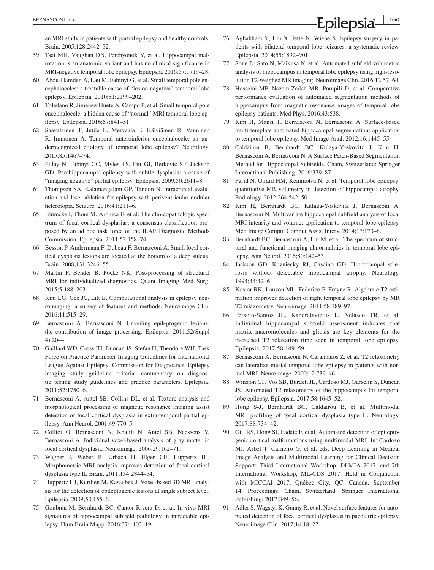an MRI study in patients with partial epilepsy and healthy controls. Brain. 2005;128:2442–52.

- 59. Tsai MH, Vaughan DN, Perchyonok Y, et al. Hippocampal malrotation is an anatomic variant and has no clinical significance in MRI‐negative temporal lobe epilepsy. Epilepsia. 2016;57:1719–28.
- 60. Abou‐Hamden A, Lau M, Fabinyi G, et al. Small temporal pole encephaloceles: a treatable cause of "lesion negative" temporal lobe epilepsy. Epilepsia. 2010;51:2199–202.
- 61. Toledano R, Jimenez‐Huete A, Campo P, et al. Small temporal pole encephalocele: a hidden cause of "normal" MRI temporal lobe epilepsy. Epilepsia. 2016;57:841–51.
- 62. Saavalainen T, Jutila L, Mervaala E, Kälviäinen R, Vanninen R, Immonen A. Temporal anteroinferior encephalocele: an underrecognized etiology of temporal lobe epilepsy? Neurology. 2015;85:1467–74.
- 63. Pillay N, Fabinyi GC, Myles TS, Fitt GJ, Berkovic SF, Jackson GD. Parahippocampal epilepsy with subtle dysplasia: a cause of "imaging negative" partial epilepsy. Epilepsia. 2009;50:2611–8.
- 64. Thompson SA, Kalamangalam GP, Tandon N. Intracranial evaluation and laser ablation for epilepsy with periventricular nodular heterotopia. Seizure. 2016;41:211–6.
- 65. Blumcke I, Thom M, Aronica E, et al. The clinicopathologic spectrum of focal cortical dysplasias: a consensus classification proposed by an ad hoc task force of the ILAE Diagnostic Methods Commission. Epilepsia. 2011;52:158–74.
- 66. Besson P, Andermann F, Dubeau F, Bernasconi A. Small focal cortical dysplasia lesions are located at the bottom of a deep sulcus. Brain. 2008;131:3246–55.
- 67. Martin P, Bender B, Focke NK. Post‐processing of structural MRI for individualized diagnostics. Quant Imaging Med Surg. 2015;5:188–203.
- 68. Kini LG, Gee JC, Litt B. Computational analysis in epilepsy neuroimaging: a survey of features and methods. Neuroimage Clin. 2016;11:515–29.
- 69. Bernasconi A, Bernasconi N. Unveiling epileptogenic lesions: the contribution of image processing. Epilepsia. 2011;52(Suppl 4):20–4.
- 70. Gaillard WD, Cross JH, Duncan JS, Stefan H, Theodore WH, Task Force on Practice Parameter Imaging Guidelines for International League Against Epilepsy, Commission for Diagnostics. Epilepsy imaging study guideline criteria: commentary on diagnostic testing study guidelines and practice parameters. Epilepsia. 2011;52:1750–6.
- 71. Bernasconi A, Antel SB, Collins DL, et al. Texture analysis and morphological processing of magnetic resonance imaging assist detection of focal cortical dysplasia in extra‐temporal partial epilepsy. Ann Neurol. 2001;49:770–5.
- 72. Colliot O, Bernasconi N, Khalili N, Antel SB, Naessens V, Bernasconi A. Individual voxel‐based analysis of gray matter in focal cortical dysplasia. Neuroimage. 2006;29:162–71.
- 73. Wagner J, Weber B, Urbach H, Elger CE, Huppertz HJ. Morphometric MRI analysis improves detection of focal cortical dysplasia type II. Brain. 2011;134:2844–54.
- 74. Huppertz HJ, Kurthen M, Kassubek J. Voxel‐based 3D MRI analysis for the detection of epileptogenic lesions at single subject level. Epilepsia. 2009;50:155–6.
- 75. Goubran M, Bernhardt BC, Cantor‐Rivera D, et al. In vivo MRI signatures of hippocampal subfield pathology in intractable epilepsy. Hum Brain Mapp. 2016;37:1103–19.
- 76. Aghakhani Y, Liu X, Jette N, Wiebe S. Epilepsy surgery in patients with bilateral temporal lobe seizures: a systematic review. Epilepsia. 2014;55:1892–901.
- 77. Sone D, Sato N, Maikusa N, et al. Automated subfield volumetric analysis of hippocampus in temporal lobe epilepsy using high‐resolution T2‐weighed MR imaging. Neuroimage Clin. 2016;12:57–64.
- 78. Hosseini MP, Nazem‐Zadeh MR, Pompili D, et al. Comparative performance evaluation of automated segmentation methods of hippocampus from magnetic resonance images of temporal lobe epilepsy patients. Med Phys. 2016;43:538.
- 79. Kim H, Mansi T, Bernasconi N, Bernasconi A. Surface‐based multi-template automated hippocampal segmentation: application to temporal lobe epilepsy. Med Image Anal. 2012;16:1445–55.
- 80. Caldairou B, Bernhardt BC, Kulaga‐Yoskovitz J, Kim H, Bernasconi A, Bernasconi N. A Surface Patch‐Based Segmentation Method for Hippocampal Subfields. Cham, Switzerland: Springer International Publishing; 2016:379–87.
- 81. Farid N, Girard HM, Kemmotsu N, et al. Temporal lobe epilepsy: quantitative MR volumetry in detection of hippocampal atrophy. Radiology. 2012;264:542–50.
- 82. Kim H, Bernhardt BC, Kulaga‐Yoskovitz J, Bernasconi A, Bernasconi N. Multivariate hippocampal subfield analysis of local MRI intensity and volume: application to temporal lobe epilepsy. Med Image Comput Comput Assist Interv. 2014;17:170–8.
- 83. Bernhardt BC, Bernasconi A, Liu M, et al. The spectrum of structural and functional imaging abnormalities in temporal lobe epilepsy. Ann Neurol. 2016;80:142–53.
- 84. Jackson GD, Kuzniecky RI, Cascino GD. Hippocampal sclerosis without detectable hippocampal atrophy. Neurology. 1994;44:42–6.
- 85. Kosior RK, Lauzon ML, Federico P, Frayne R. Algebraic T2 estimation improves detection of right temporal lobe epilepsy by MR T2 relaxometry. Neuroimage. 2011;58:189–97.
- 86. Peixoto‐Santos JE, Kandratavicius L, Velasco TR, et al. Individual hippocampal subfield assessment indicates that matrix macromolecules and gliosis are key elements for the increased T2 relaxation time seen in temporal lobe epilepsy. Epilepsia. 2017;58:149–59.
- 87. Bernasconi A, Bernasconi N, Caramanos Z, et al. T2 relaxometry can lateralize mesial temporal lobe epilepsy in patients with normal MRI. Neuroimage. 2000;12:739–46.
- 88. Winston GP, Vos SB, Burdett JL, Cardoso MJ, Ourselin S, Duncan JS. Automated T2 relaxometry of the hippocampus for temporal lobe epilepsy. Epilepsia. 2017;58:1645–52.
- 89. Hong S‐J, Bernhardt BC, Caldairou B, et al. Multimodal MRI profiling of focal cortical dysplasia type II. Neurology. 2017;88:734–42.
- 90. Gill RS, Hong SJ, Fadaie F, et al. Automated detection of epileptogenic cortical malformations using multimodal MRI. In: Cardoso MJ, Arbel T, Carneiro G, et al, eds. Deep Learning in Medical Image Analysis and Multimodal Learning for Clinical Decision Support: Third International Workshop, DLMIA 2017, and 7th International Workshop, ML‐CDS 2017, Held in Conjunction with MICCAI 2017, Québec City, QC, Canada, September 14, Proceedings. Cham, Switzerland: Springer International Publishing; 2017:349–56.
- 91. Adler S, Wagstyl K, Gunny R, et al. Novel surface features for automated detection of focal cortical dysplasias in paediatric epilepsy. Neuroimage Clin. 2017;14:18–27.